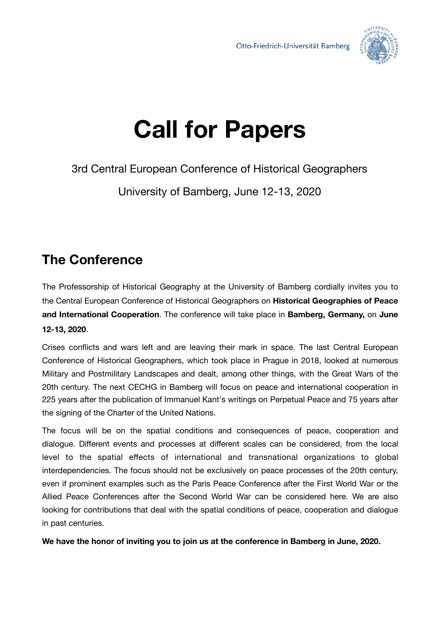

# **Call for Papers**

3rd Central European Conference of Historical Geographers

University of Bamberg, June 12-13, 2020

## **The Conference**

The Professorship of Historical Geography at the University of Bamberg cordially invites you to the Central European Conference of Historical Geographers on **Historical Geographies of Peace and International Cooperation**. The conference will take place in **Bamberg, Germany,** on **June 12-13, 2020**.

Crises conflicts and wars left and are leaving their mark in space. The last Central European Conference of Historical Geographers, which took place in Prague in 2018, looked at numerous Military and Postmilitary Landscapes and dealt, among other things, with the Great Wars of the 20th century. The next CECHG in Bamberg will focus on peace and international cooperation in 225 years after the publication of Immanuel Kant's writings on Perpetual Peace and 75 years after the signing of the Charter of the United Nations.

The focus will be on the spatial conditions and consequences of peace, cooperation and dialogue. Different events and processes at different scales can be considered, from the local level to the spatial effects of international and transnational organizations to global interdependencies. The focus should not be exclusively on peace processes of the 20th century, even if prominent examples such as the Paris Peace Conference after the First World War or the Allied Peace Conferences after the Second World War can be considered here. We are also looking for contributions that deal with the spatial conditions of peace, cooperation and dialogue in past centuries.

**We have the honor of inviting you to join us at the conference in Bamberg in June, 2020.**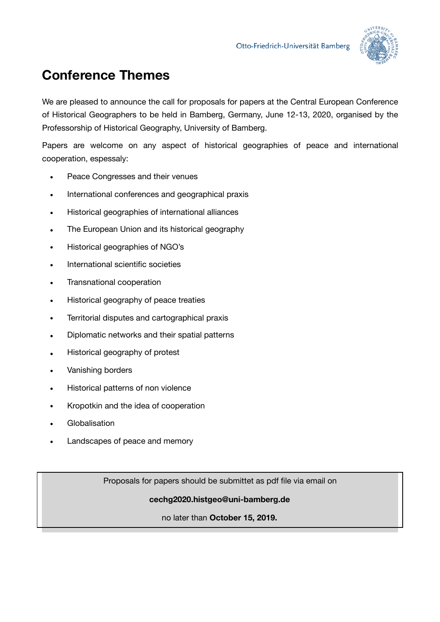

## **Conference Themes**

We are pleased to announce the call for proposals for papers at the Central European Conference of Historical Geographers to be held in Bamberg, Germany, June 12-13, 2020, organised by the Professorship of Historical Geography, University of Bamberg.

Papers are welcome on any aspect of historical geographies of peace and international cooperation, espessaly:

- Peace Congresses and their venues
- International conferences and geographical praxis
- Historical geographies of international alliances
- The European Union and its historical geography
- Historical geographies of NGO's
- International scientific societies
- Transnational cooperation
- Historical geography of peace treaties
- Territorial disputes and cartographical praxis
- Diplomatic networks and their spatial patterns
- Historical geography of protest
- Vanishing borders
- Historical patterns of non violence
- Kropotkin and the idea of cooperation
- **Globalisation**
- Landscapes of peace and memory

Proposals for papers should be submittet as pdf file via email on

#### **cechg2020.histgeo@uni-bamberg.de**

#### no later than **October 15, 2019.**